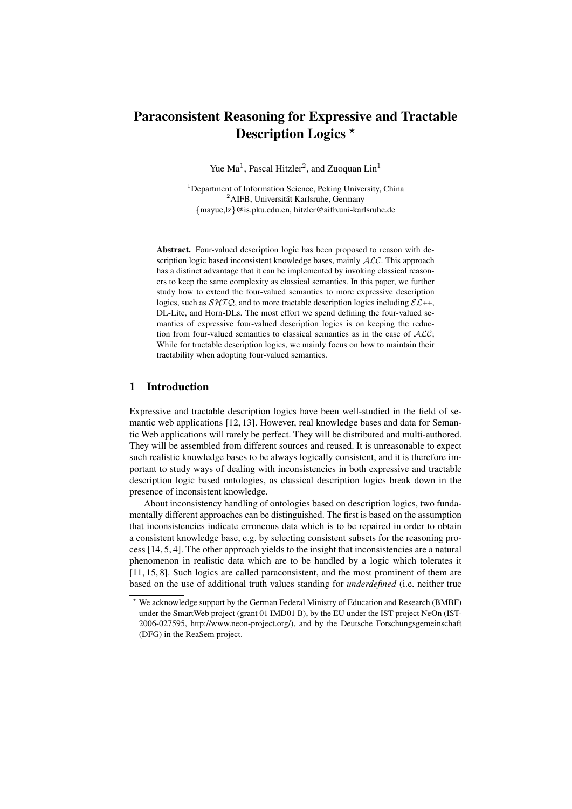# Paraconsistent Reasoning for Expressive and Tractable Description Logics \*

Yue  $Ma^1$ , Pascal Hitzler<sup>2</sup>, and Zuoquan Lin<sup>1</sup>

<sup>1</sup>Department of Information Science, Peking University, China  $2$ AIFB, Universität Karlsruhe, Germany {mayue,lz}@is.pku.edu.cn, hitzler@aifb.uni-karlsruhe.de

Abstract. Four-valued description logic has been proposed to reason with description logic based inconsistent knowledge bases, mainly  $\text{ALC}$ . This approach has a distinct advantage that it can be implemented by invoking classical reasoners to keep the same complexity as classical semantics. In this paper, we further study how to extend the four-valued semantics to more expressive description logics, such as  $\mathcal{SHTQ}$ , and to more tractable description logics including  $\mathcal{EL}++$ , DL-Lite, and Horn-DLs. The most effort we spend defining the four-valued semantics of expressive four-valued description logics is on keeping the reduction from four-valued semantics to classical semantics as in the case of  $ALC$ ; While for tractable description logics, we mainly focus on how to maintain their tractability when adopting four-valued semantics.

## 1 Introduction

Expressive and tractable description logics have been well-studied in the field of semantic web applications [12, 13]. However, real knowledge bases and data for Semantic Web applications will rarely be perfect. They will be distributed and multi-authored. They will be assembled from different sources and reused. It is unreasonable to expect such realistic knowledge bases to be always logically consistent, and it is therefore important to study ways of dealing with inconsistencies in both expressive and tractable description logic based ontologies, as classical description logics break down in the presence of inconsistent knowledge.

About inconsistency handling of ontologies based on description logics, two fundamentally different approaches can be distinguished. The first is based on the assumption that inconsistencies indicate erroneous data which is to be repaired in order to obtain a consistent knowledge base, e.g. by selecting consistent subsets for the reasoning process [14, 5, 4]. The other approach yields to the insight that inconsistencies are a natural phenomenon in realistic data which are to be handled by a logic which tolerates it [11, 15, 8]. Such logics are called paraconsistent, and the most prominent of them are based on the use of additional truth values standing for *underdefined* (i.e. neither true

<sup>?</sup> We acknowledge support by the German Federal Ministry of Education and Research (BMBF) under the SmartWeb project (grant 01 IMD01 B), by the EU under the IST project NeOn (IST-2006-027595, http://www.neon-project.org/), and by the Deutsche Forschungsgemeinschaft (DFG) in the ReaSem project.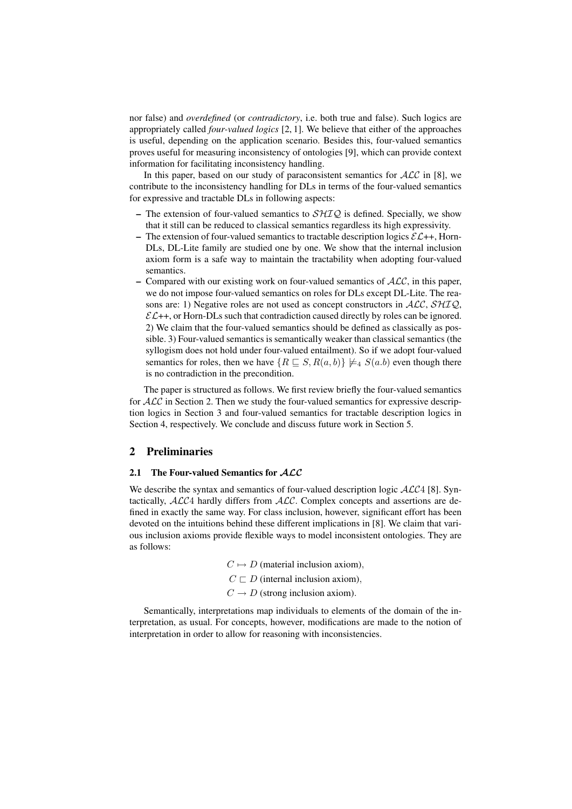nor false) and *overdefined* (or *contradictory*, i.e. both true and false). Such logics are appropriately called *four-valued logics* [2, 1]. We believe that either of the approaches is useful, depending on the application scenario. Besides this, four-valued semantics proves useful for measuring inconsistency of ontologies [9], which can provide context information for facilitating inconsistency handling.

In this paper, based on our study of paraconsistent semantics for  $ALC$  in [8], we contribute to the inconsistency handling for DLs in terms of the four-valued semantics for expressive and tractable DLs in following aspects:

- The extension of four-valued semantics to  $\mathcal{SHIQ}$  is defined. Specially, we show that it still can be reduced to classical semantics regardless its high expressivity.
- The extension of four-valued semantics to tractable description logics  $\mathcal{EL}$ ++, Horn-DLs, DL-Lite family are studied one by one. We show that the internal inclusion axiom form is a safe way to maintain the tractability when adopting four-valued semantics.
- Compared with our existing work on four-valued semantics of  $ALC$ , in this paper, we do not impose four-valued semantics on roles for DLs except DL-Lite. The reasons are: 1) Negative roles are not used as concept constructors in  $ALC$ ,  $SHTQ$ ,  $\mathcal{EL}$ ++, or Horn-DLs such that contradiction caused directly by roles can be ignored. 2) We claim that the four-valued semantics should be defined as classically as possible. 3) Four-valued semantics is semantically weaker than classical semantics (the syllogism does not hold under four-valued entailment). So if we adopt four-valued semantics for roles, then we have  $\{R \sqsubseteq S, R(a, b)\} \not\models_{4} S(a, b)$  even though there is no contradiction in the precondition.

The paper is structured as follows. We first review briefly the four-valued semantics for  $\mathcal{ALC}$  in Section 2. Then we study the four-valued semantics for expressive description logics in Section 3 and four-valued semantics for tractable description logics in Section 4, respectively. We conclude and discuss future work in Section 5.

## 2 Preliminaries

#### 2.1 The Four-valued Semantics for  $ALC$

We describe the syntax and semantics of four-valued description logic  $\mathcal{ALC}4$  [8]. Syntactically,  $ALC4$  hardly differs from  $ALC$ . Complex concepts and assertions are defined in exactly the same way. For class inclusion, however, significant effort has been devoted on the intuitions behind these different implications in [8]. We claim that various inclusion axioms provide flexible ways to model inconsistent ontologies. They are as follows:

> $C \mapsto D$  (material inclusion axiom),  $C \sqsubset D$  (internal inclusion axiom),  $C \rightarrow D$  (strong inclusion axiom).

Semantically, interpretations map individuals to elements of the domain of the interpretation, as usual. For concepts, however, modifications are made to the notion of interpretation in order to allow for reasoning with inconsistencies.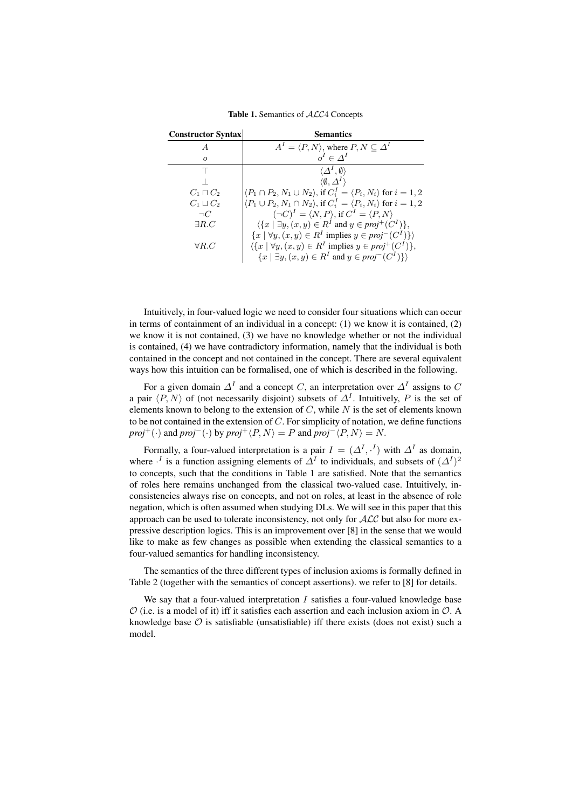| <b>Constructor Syntax</b> | <b>Semantics</b>                                                                                    |
|---------------------------|-----------------------------------------------------------------------------------------------------|
| $\overline{A}$            | $A^I = \langle P, N \rangle$ , where $P, N \subseteq \Delta^I$                                      |
| $\Omega$                  | $o^I \in \Delta^I$                                                                                  |
|                           | $\langle \Delta^I, \emptyset \rangle$                                                               |
|                           | $\langle \emptyset, \Delta^I \rangle$                                                               |
| $C_1 \sqcap C_2$          | $\langle P_1 \cap P_2, N_1 \cup N_2 \rangle$ , if $C_i^I = \langle P_i, N_i \rangle$ for $i = 1, 2$ |
| $C_1 \sqcup C_2$          | $\langle P_1 \cup P_2, N_1 \cap N_2 \rangle$ , if $C_i^I = \langle P_i, N_i \rangle$ for $i = 1, 2$ |
| $\neg C$                  | $(\neg C)^{I} = \langle N, P \rangle$ , if $C^{I} = \langle P, N \rangle$                           |
| $\exists R.C$             | $\langle \{x \mid \exists y, (x, y) \in R^I \text{ and } y \in proj^+(C^I) \},\$                    |
|                           | $\{x \mid \forall y, (x, y) \in R^I \text{ implies } y \in proj^-(C^I)\}\$                          |
| $\forall R.C$             | $\langle \{x \mid \forall y, (x, y) \in R^I \text{ implies } y \in proj^+(C^I) \},\$                |
|                           | $\{x \mid \exists y, (x, y) \in R^I \text{ and } y \in proj^-(C^I)\}\$                              |

Table 1. Semantics of  $ALC4$  Concepts

Intuitively, in four-valued logic we need to consider four situations which can occur in terms of containment of an individual in a concept: (1) we know it is contained, (2) we know it is not contained, (3) we have no knowledge whether or not the individual is contained, (4) we have contradictory information, namely that the individual is both contained in the concept and not contained in the concept. There are several equivalent ways how this intuition can be formalised, one of which is described in the following.

For a given domain  $\Delta^I$  and a concept C, an interpretation over  $\Delta^I$  assigns to C a pair  $\langle P, N \rangle$  of (not necessarily disjoint) subsets of  $\Delta^I$ . Intuitively, P is the set of elements known to belong to the extension of  $C$ , while  $N$  is the set of elements known to be not contained in the extension of  $C$ . For simplicity of notation, we define functions *proj*<sup>+</sup>(·) and *proj*<sup>−</sup>(·) by *proj*<sup>+</sup> $\langle P, N \rangle = P$  and *proj*<sup>−</sup> $\langle P, N \rangle = N$ .

Formally, a four-valued interpretation is a pair  $I = (\Delta^I, \cdot^I)$  with  $\Delta^I$  as domain, where  $\cdot^I$  is a function assigning elements of  $\Delta^I$  to individuals, and subsets of  $(\Delta^I)^2$ to concepts, such that the conditions in Table 1 are satisfied. Note that the semantics of roles here remains unchanged from the classical two-valued case. Intuitively, inconsistencies always rise on concepts, and not on roles, at least in the absence of role negation, which is often assumed when studying DLs. We will see in this paper that this approach can be used to tolerate inconsistency, not only for  $ALC$  but also for more expressive description logics. This is an improvement over [8] in the sense that we would like to make as few changes as possible when extending the classical semantics to a four-valued semantics for handling inconsistency.

The semantics of the three different types of inclusion axioms is formally defined in Table 2 (together with the semantics of concept assertions). we refer to [8] for details.

We say that a four-valued interpretation  $I$  satisfies a four-valued knowledge base  $\mathcal O$  (i.e. is a model of it) iff it satisfies each assertion and each inclusion axiom in  $\mathcal O$ . A knowledge base  $\mathcal O$  is satisfiable (unsatisfiable) iff there exists (does not exist) such a model.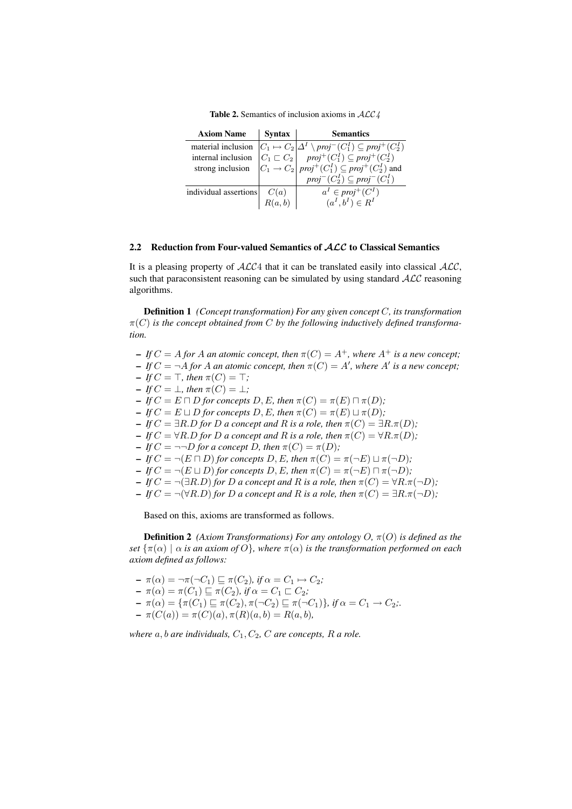Table 2. Semantics of inclusion axioms in  $ALC4$ 

| <b>Axiom Name</b>     | S <sub>y</sub> ntax | <b>Semantics</b>                                                                                                                                                                                                                                                                                                                                                                                                         |
|-----------------------|---------------------|--------------------------------------------------------------------------------------------------------------------------------------------------------------------------------------------------------------------------------------------------------------------------------------------------------------------------------------------------------------------------------------------------------------------------|
|                       |                     | material inclusion $\begin{vmatrix} C_1 \mapsto C_2 \\ C_1 \subseteq C_2 \end{vmatrix} \Delta^I \setminus proj^{-}(C_1^I) \subseteq proj^{+}(C_2^I)$<br>internal inclusion $\begin{vmatrix} C_1 \sqsubset C_2 \\ C_1 \rightarrow C_2 \end{vmatrix} \begin{vmatrix} proj^{+}(C_1^I) \subseteq proj^{+}(C_2^I) \\ proj^{+}(C_1^I) \subseteq proj^{+}(C_2^I) \end{vmatrix}$ and $proj^{-}(C_2^I) \subseteq proj^{-}(C_1^I)$ |
|                       |                     |                                                                                                                                                                                                                                                                                                                                                                                                                          |
|                       |                     |                                                                                                                                                                                                                                                                                                                                                                                                                          |
|                       |                     |                                                                                                                                                                                                                                                                                                                                                                                                                          |
| individual assertions | C(a)                | $a^I \in proj^+(C^I)$                                                                                                                                                                                                                                                                                                                                                                                                    |
|                       |                     | $(a^I, b^I) \in R^I$                                                                                                                                                                                                                                                                                                                                                                                                     |

# 2.2 Reduction from Four-valued Semantics of ALC to Classical Semantics

It is a pleasing property of  $ALC4$  that it can be translated easily into classical  $ALC$ , such that paraconsistent reasoning can be simulated by using standard  $ALC$  reasoning algorithms.

Definition 1 *(Concept transformation) For any given concept* C*, its transformation*  $\pi(C)$  is the concept obtained from C by the following inductively defined transforma*tion.*

- $-IfC = A$  *for* A *an atomic concept, then*  $\pi(C) = A^+$ *, where*  $A^+$  *is a new concept;*
- $-IfC = \neg A$  *for* A *an atomic concept, then*  $\pi(C) = A'$ *, where* A' *is a new concept*;
- $-IfC = \top$ , then  $\pi(C) = \top$ ;
- $-IfC = \bot$ *, then*  $\pi(C) = \bot$ *;*
- $-IfC = E \sqcap D$  *for concepts*  $D, E$ *, then*  $\pi(C) = \pi(E) \sqcap \pi(D)$ *;*
- $-IfC = E \sqcup D$  *for concepts* D, E, then  $\pi(C) = \pi(E) \sqcup \pi(D)$ *;*
- $-IfC = \exists R.D$  *for D a* concept and *R is a role, then*  $\pi(C) = \exists R.\pi(D)$ *;*
- $-IfC = \forall R.D$  *for D a* concept and *R is a role, then*  $\pi(C) = \forall R.\pi(D)$ *;*
- $-IfC = \neg \neg D$  *for a concept* D, then  $\pi(C) = \pi(D)$ *;*
- $-IfC = \neg(E \sqcap D)$  *for concepts* D, E, then  $\pi(C) = \pi(\neg E) \sqcup \pi(\neg D)$ *;*
- $-IfC = \neg(E \sqcup D)$  *for concepts* D, E, then  $\pi(C) = \pi(\neg E) \sqcap \pi(\neg D)$ *;*
- $-IfC = \neg(\exists R.D)$  *for D a* concept and *R is a role, then*  $\pi(C) = \forall R.\pi(\neg D)$ *;*
- $-IfC = ¬(∀R.D)$  *for D a* concept and *R is a role, then*  $π(C) = ∃R.π(¬D)$ *;*

Based on this, axioms are transformed as follows.

**Definition 2** *(Axiom Transformations) For any ontology O,*  $\pi$ (O) *is defined as the set*  $\{\pi(\alpha) \mid \alpha \text{ is an axiom of } O\}$ , where  $\pi(\alpha)$  *is the transformation performed on each axiom defined as follows:*

- 
$$
\pi(\alpha) = \neg \pi(\neg C_1) \sqsubseteq \pi(C_2)
$$
, if  $\alpha = C_1 \rightarrow C_2$ ;  
\n-  $\pi(\alpha) = \pi(C_1) \sqsubseteq \pi(C_2)$ , if  $\alpha = C_1 \sqsubset C_2$ ;  
\n-  $\pi(\alpha) = \{\pi(C_1) \sqsubseteq \pi(C_2), \pi(\neg C_2) \sqsubseteq \pi(\neg C_1)\}$ , if  $\alpha = C_1 \rightarrow C_2$ ;  
\n-  $\pi(C(a)) = \pi(C)(a), \pi(R)(a, b) = R(a, b)$ ,

*where*  $a, b$  *are individuals,*  $C_1, C_2, C$  *are concepts,*  $R$  *a role.*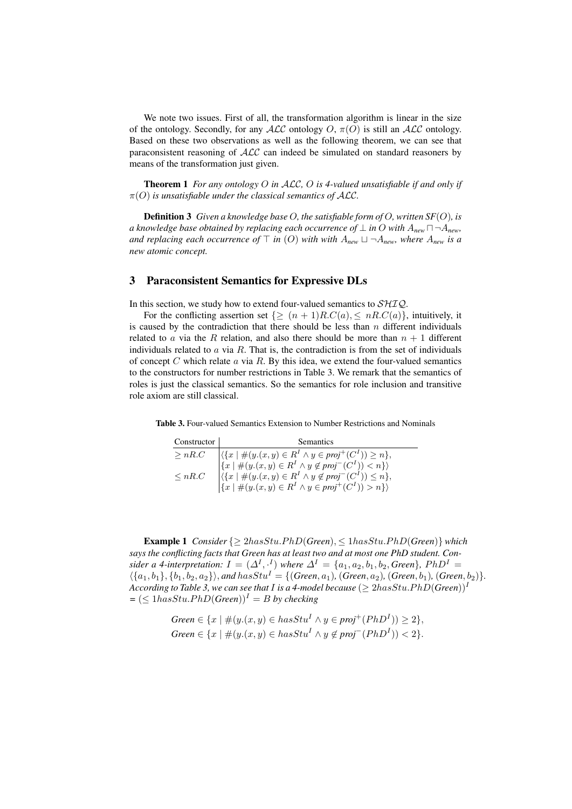We note two issues. First of all, the transformation algorithm is linear in the size of the ontology. Secondly, for any  $ALC$  ontology O,  $\pi(O)$  is still an ALC ontology. Based on these two observations as well as the following theorem, we can see that paraconsistent reasoning of  $ALC$  can indeed be simulated on standard reasoners by means of the transformation just given.

Theorem 1 *For any ontology* O *in* ALC*,* O *is 4-valued unsatisfiable if and only if*  $\pi(O)$  *is unsatisfiable under the classical semantics of ALC.* 

Definition 3 *Given a knowledge base* O*, the satisfiable form of* O*, written SF*(O)*, is a* knowledge base obtained by replacing each occurrence of  $\perp$  in O with  $A_{new} \sqcap \neg A_{new}$ *and replacing each occurrence of*  $\top$  *in* (O) with with  $A_{new} \sqcup \neg A_{new}$ *, where*  $A_{new}$  *is a new atomic concept.*

# 3 Paraconsistent Semantics for Expressive DLs

In this section, we study how to extend four-valued semantics to  $\mathcal{SHIQ}$ .

For the conflicting assertion set  $\{\geq (n+1)R.C(a), \leq nR.C(a)\}\$ , intuitively, it is caused by the contradiction that there should be less than  $n$  different individuals related to a via the R relation, and also there should be more than  $n + 1$  different individuals related to  $\alpha$  via  $R$ . That is, the contradiction is from the set of individuals of concept  $C$  which relate  $a$  via  $R$ . By this idea, we extend the four-valued semantics to the constructors for number restrictions in Table 3. We remark that the semantics of roles is just the classical semantics. So the semantics for role inclusion and transitive role axiom are still classical.

Table 3. Four-valued Semantics Extension to Number Restrictions and Nominals

| Constructor | <b>Semantics</b>                                                                                                                                                        |
|-------------|-------------------------------------------------------------------------------------------------------------------------------------------------------------------------|
| > nR.C      | $\left \langle \{x \mid \#(y.(x,y) \in R^I \land y \in proj^+(C^I)) \geq n\},\right.\\ \left\{x \mid \#(y.(x,y) \in R^I \land y \notin proj^-(C^I)) < n\}\right\rangle$ |
|             |                                                                                                                                                                         |
| $\leq nR.C$ | $\langle \{x \mid \#(y.(x,y) \in R^I \land y \notin proj^-(C^I)) \leq n \},\$<br>$\{x \mid \#(y.(x,y) \in R^I \land y \in proj^+(C^I)) > n \} \rangle$                  |
|             |                                                                                                                                                                         |

**Example 1** *Consider*  $\{\geq 2hasStu.PhD(Green), \leq 1hasStu.PhD(Green)\}$  *which says the conflicting facts that Green has at least two and at most one PhD student. Consider a 4-interpretation:*  $I = (\Delta^I, \cdot^I)$  *where*  $\Delta^I = \{a_1, a_2, b_1, b_2,$  *Green*}*,*  $PhD^I =$  $\{\{a_1, b_1\}, \{b_1, b_2, a_2\}\}\$ , and  $hasStu^I = \{(Green, a_1), (Green, a_2), (Green, b_1), (Green, b_2)\}.$ *According to Table 3, we can see that I is a 4-model because*  $(\geq 2 \text{has} Stu.PhD(Green))^1$  $= (\leq 1 has Stu. PhD(Green))^{\textit{I}} = B$  by checking

> $Green \in \{x \mid \#(y.(x, y) \in hasStu^I \land y \in proj^+(PhD^I)) \geq 2\},$  $Green \in \{x \mid \#(y.(x, y) \in hasStu^I \land y \notin proj^-(PhD^I)) < 2\}.$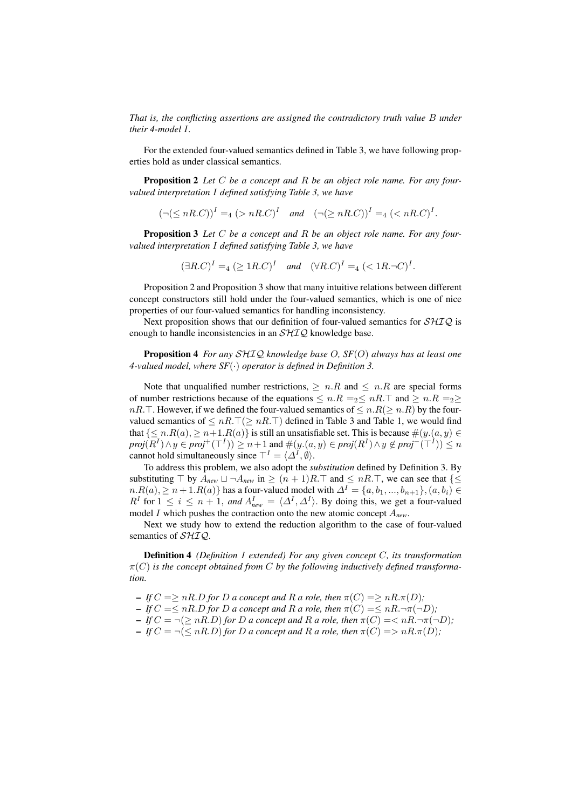*That is, the conflicting assertions are assigned the contradictory truth value* B *under their 4-model* I*.*

For the extended four-valued semantics defined in Table 3, we have following properties hold as under classical semantics.

Proposition 2 *Let* C *be a concept and* R *be an object role name. For any fourvalued interpretation* I *defined satisfying Table 3, we have*

 $(\neg (\leq nR.C))^I =_4 (\geq nR.C)^I$  and  $(\neg (\geq nR.C))^I =_4 (\leq nR.C)^I$ .

Proposition 3 *Let* C *be a concept and* R *be an object role name. For any fourvalued interpretation* I *defined satisfying Table 3, we have*

 $(\exists R.C)^{I} =_{4} (\geq 1R.C)^{I}$  and  $(\forall R.C)^{I} =_{4} (\leq 1R.\neg C)^{I}.$ 

Proposition 2 and Proposition 3 show that many intuitive relations between different concept constructors still hold under the four-valued semantics, which is one of nice properties of our four-valued semantics for handling inconsistency.

Next proposition shows that our definition of four-valued semantics for  $\mathcal{SHIO}$  is enough to handle inconsistencies in an  $\mathcal{SHIQ}$  knowledge base.

Proposition 4 *For any* SHIQ *knowledge base* O*, SF*(O) *always has at least one 4-valued model, where SF*(·) *operator is defined in Definition 3.*

Note that unqualified number restrictions,  $\geq n.R$  and  $\leq n.R$  are special forms of number restrictions because of the equations  $\leq n.R = 2 \leq nR$ . T and  $\geq n.R = 2 \geq$  $nR.\top$ . However, if we defined the four-valued semantics of  $\leq n.R(\geq n.R)$  by the fourvalued semantics of  $\leq nR.\top(\geq nR.\top)$  defined in Table 3 and Table 1, we would find that  $\{\leq n.R(a), \geq n+1.R(a)\}$  is still an unsatisfiable set. This is because  $\#(y.(a, y) \in$  $proj(R^I) \wedge y \in proj^+(\top^I)) \geq n+1$  and  $\#(y.(a, y) \in proj(R^I) \wedge y \notin proj^-(\top^I)) \leq n$ cannot hold simultaneously since  $\top^I = \langle \Delta^I, \emptyset \rangle$ .

To address this problem, we also adopt the *substitution* defined by Definition 3. By substituting  $\top$  by  $A_{new} \sqcup \neg A_{new}$  in  $\geq (n+1)R.\top$  and  $\leq nR.\top$ , we can see that  $\{\leq n\}$  $n.R(a)$ ,  $\ge n+1.R(a)$ } has a four-valued model with  $\Delta^I = \{a, b_1, ..., b_{n+1}\}$ ,  $(a, b_i) \in$  $R^I$  for  $1 \le i \le n+1$ , and  $A_{new}^I = \langle \Delta^I, \Delta^I \rangle$ . By doing this, we get a four-valued model I which pushes the contraction onto the new atomic concept A*new*.

Next we study how to extend the reduction algorithm to the case of four-valued semantics of  $\mathcal{SHIQ}$ .

Definition 4 *(Definition 1 extended) For any given concept* C*, its transformation* π(C) *is the concept obtained from* C *by the following inductively defined transformation.*

- $-IfC \Longrightarrow nR.D$  *for* D *a* concept and R *a* role, then  $\pi(C) \Longrightarrow nR.\pi(D)$ ;
- $-IfC = \leq nR.D$  *for D a* concept and R *a* role, then  $\pi(C) = \leq nR.\neg \pi(\neg D)$ ;
- $-IfC = \neg (\geq nR.D)$  *for D a* concept and *R a* role, then  $\pi(C) = \langle nR.\neg \pi(\neg D)$ ;
- $-IfC = \neg (\leq nR.D)$  *for D a* concept and *R a* role, then  $\pi(C) \implies nR.\pi(D)$ ;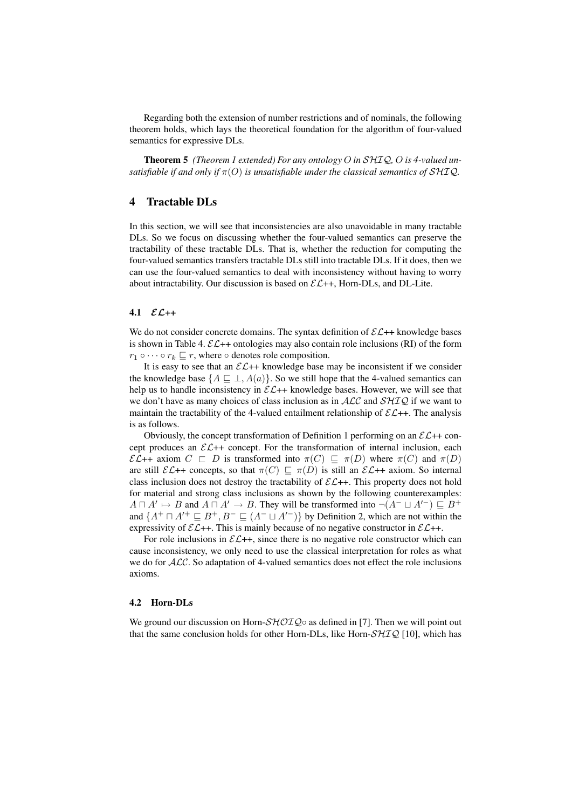Regarding both the extension of number restrictions and of nominals, the following theorem holds, which lays the theoretical foundation for the algorithm of four-valued semantics for expressive DLs.

Theorem 5 *(Theorem 1 extended) For any ontology* O *in* SHIQ*,* O *is 4-valued unsatisfiable if and only if*  $\pi(O)$  *is unsatisfiable under the classical semantics of SHIQ.* 

# 4 Tractable DLs

In this section, we will see that inconsistencies are also unavoidable in many tractable DLs. So we focus on discussing whether the four-valued semantics can preserve the tractability of these tractable DLs. That is, whether the reduction for computing the four-valued semantics transfers tractable DLs still into tractable DLs. If it does, then we can use the four-valued semantics to deal with inconsistency without having to worry about intractability. Our discussion is based on  $\mathcal{EL}++$ , Horn-DLs, and DL-Lite.

#### 4.1  $\mathcal{EL}_{++}$

We do not consider concrete domains. The syntax definition of  $\mathcal{EL}+$  knowledge bases is shown in Table 4.  $\mathcal{EL}$ ++ ontologies may also contain role inclusions (RI) of the form  $r_1 \circ \cdots \circ r_k \sqsubseteq r$ , where  $\circ$  denotes role composition.

It is easy to see that an  $\mathcal{EL}_{++}$  knowledge base may be inconsistent if we consider the knowledge base  $\{A \sqsubseteq \bot, A(a)\}$ . So we still hope that the 4-valued semantics can help us to handle inconsistency in  $\mathcal{EL}$ ++ knowledge bases. However, we will see that we don't have as many choices of class inclusion as in  $ALC$  and  $SHIQ$  if we want to maintain the tractability of the 4-valued entailment relationship of  $\mathcal{EL}$ ++. The analysis is as follows.

Obviously, the concept transformation of Definition 1 performing on an  $\mathcal{EL}$ ++ concept produces an  $\mathcal{EL}$ ++ concept. For the transformation of internal inclusion, each  $\mathcal{EL}$ ++ axiom  $C \subseteq D$  is transformed into  $\pi(C) \subseteq \pi(D)$  where  $\pi(C)$  and  $\pi(D)$ are still  $\mathcal{EL}$ ++ concepts, so that  $\pi(C) \sqsubseteq \pi(D)$  is still an  $\mathcal{EL}+$  axiom. So internal class inclusion does not destroy the tractability of  $\mathcal{EL}++$ . This property does not hold for material and strong class inclusions as shown by the following counterexamples:  $A \sqcap A' \mapsto B$  and  $A \sqcap A' \to B$ . They will be transformed into  $\neg(A^- \sqcup A'^-) \sqsubseteq B^+$ and  $\{A^+ \sqcap A'^+ \sqsubseteq B^+, B^- \sqsubseteq (A^- \sqcup A'^-) \}$  by Definition 2, which are not within the expressivity of  $\mathcal{EL}$ ++. This is mainly because of no negative constructor in  $\mathcal{EL}$ ++.

For role inclusions in  $\mathcal{EL}$ ++, since there is no negative role constructor which can cause inconsistency, we only need to use the classical interpretation for roles as what we do for  $ALC$ . So adaptation of 4-valued semantics does not effect the role inclusions axioms.

## 4.2 Horn-DLs

We ground our discussion on Horn- $\mathcal{SHOLQ} \circ$  as defined in [7]. Then we will point out that the same conclusion holds for other Horn-DLs, like Horn- $\mathcal{SHIQ}$  [10], which has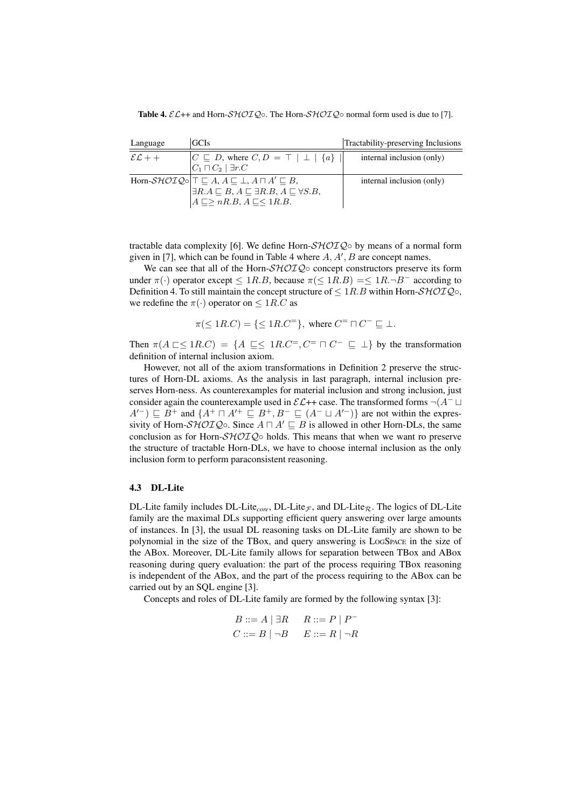**Table 4.**  $\mathcal{E}\mathcal{L}$ ++ and Horn- $\mathcal{SHOLQ} \circ$ . The Horn- $\mathcal{SHOLQ} \circ$  normal form used is due to [7].

| Language          | <b>GCIs</b>                                                                                                                                                                                                                                    | Tractability-preserving Inclusions |
|-------------------|------------------------------------------------------------------------------------------------------------------------------------------------------------------------------------------------------------------------------------------------|------------------------------------|
| $\mathcal{EL}$ ++ | $ C \sqsubseteq D$ , where $C, D = \top   \perp   \{a\}   $<br>$ C_1 \sqcap C_2 $ $\exists r.C$                                                                                                                                                | internal inclusion (only)          |
|                   | Horn- $\mathcal{SHOIQ}\circ \mathcal{T}\subseteq A, A\sqsubseteq \bot, A\sqcap A'\sqsubseteq B$ ,<br>$\exists R.A \sqsubseteq B, A \sqsubseteq \exists R.B, A \sqsubseteq \forall S.B,$<br>$A \sqsubseteq \geq nR.B, A \sqsubseteq \leq 1R.B.$ | internal inclusion (only)          |

tractable data complexity [6]. We define Horn- $\mathcal{SHOIQ} \circ$  by means of a normal form given in [7], which can be found in Table 4 where  $A, A', B$  are concept names.

We can see that all of the Horn- $\mathcal{SHOIQ} \circ$  concept constructors preserve its form under  $\pi(\cdot)$  operator except  $\leq 1R.B$ , because  $\pi(\leq 1R.B) = \leq 1R.\neg B^-$  according to Definition 4. To still maintain the concept structure of  $\leq 1R.B$  within Horn- $\mathcal{SHOIQ}\circ$ , we redefine the  $\pi(\cdot)$  operator on  $\leq 1R.C$  as

$$
\pi(\leq 1R.C) = \{\leq 1R.C^=\}, \text{ where } C^=\sqcap C^-\sqsubseteq \bot.
$$

Then  $\pi(A \sqsubset \leq 1R.C) = \{A \sqsubseteq \leq 1R.C^= C^- \sqcap C^- \sqsubseteq \bot\}$  by the transformation definition of internal inclusion axiom.

However, not all of the axiom transformations in Definition 2 preserve the structures of Horn-DL axioms. As the analysis in last paragraph, internal inclusion preserves Horn-ness. As counterexamples for material inclusion and strong inclusion, just consider again the counterexample used in  $\mathcal{EL}$ ++ case. The transformed forms  $\neg (A^- \sqcup$  $A^{(-)} \sqsubseteq B^+$  and  $\{A^+ \sqcap A^{+} \sqsubseteq B^+, B^- \sqsubseteq (A^- \sqcup A^{(-)})\}$  are not within the expressivity of Horn-SHOIQ☉. Since  $A \sqcap A' \sqsubseteq B$  is allowed in other Horn-DLs, the same conclusion as for Horn- $\mathcal{SHOLQ} \circ$  holds. This means that when we want ro preserve the structure of tractable Horn-DLs, we have to choose internal inclusion as the only inclusion form to perform paraconsistent reasoning.

## 4.3 DL-Lite

DL-Lite family includes DL-Lite<sub>core</sub>, DL-Lite<sub> $\mathcal F$ </sub>, and DL-Lite<sub>R</sub>. The logics of DL-Lite family are the maximal DLs supporting efficient query answering over large amounts of instances. In [3], the usual DL reasoning tasks on DL-Lite family are shown to be polynomial in the size of the TBox, and query answering is LOGSPACE in the size of the ABox. Moreover, DL-Lite family allows for separation between TBox and ABox reasoning during query evaluation: the part of the process requiring TBox reasoning is independent of the ABox, and the part of the process requiring to the ABox can be carried out by an SQL engine [3].

Concepts and roles of DL-Lite family are formed by the following syntax [3]:

$$
B ::= A | \exists R \qquad R ::= P | P^-
$$
  

$$
C ::= B | \neg B \qquad E ::= R | \neg R
$$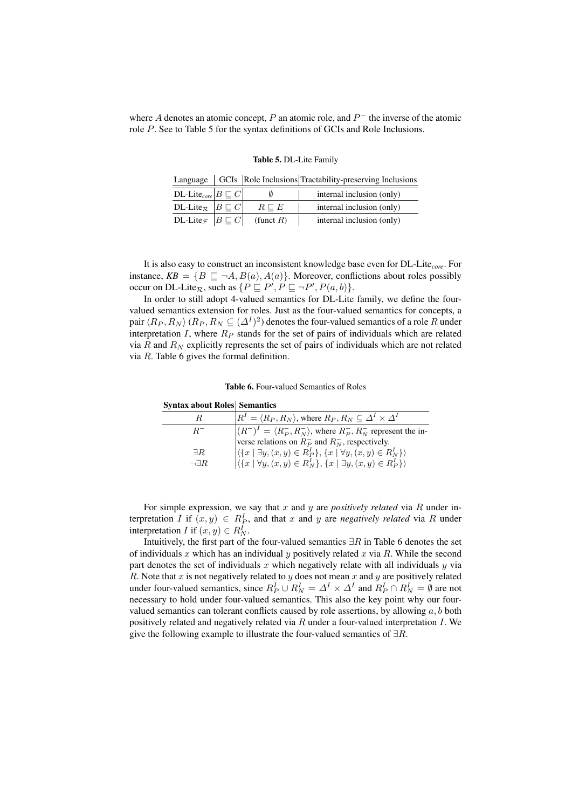where A denotes an atomic concept, P an atomic role, and  $P^-$  the inverse of the atomic role P. See to Table 5 for the syntax definitions of GCIs and Role Inclusions.

|  |  |  | Table 5. DL-Lite Family |
|--|--|--|-------------------------|
|--|--|--|-------------------------|

|  | Language   GCIs   Role Inclusions   Tractability-preserving Inclusions |  |
|--|------------------------------------------------------------------------|--|
|  |                                                                        |  |

| DL-Lite <sub>core</sub> $B \sqsubseteq C$                       |                 | internal inclusion (only) |
|-----------------------------------------------------------------|-----------------|---------------------------|
| DL-Lite <sub><math>\mathcal{R}</math></sub> $ B \sqsubseteq C $ | $R \sqsubset E$ | internal inclusion (only) |
| DL-Lite <sub><math>\mathcal{F}</math></sub> $ B \sqsubseteq C $ | (funct $R$ )    | internal inclusion (only) |

It is also easy to construct an inconsistent knowledge base even for DL-Lite*core*. For instance,  $KB = \{B \sqsubseteq \neg A, B(a), A(a)\}\$ . Moreover, conflictions about roles possibly occur on DL-Lite<sub>R</sub>, such as  $\{P \sqsubseteq P', P \sqsubseteq \neg P', P(a, b)\}.$ 

In order to still adopt 4-valued semantics for DL-Lite family, we define the fourvalued semantics extension for roles. Just as the four-valued semantics for concepts, a pair  $\langle R_P , R_N \rangle$   $(R_P , R_N \subseteq (\varDelta^I)^2)$  denotes the four-valued semantics of a role  $R$  under interpretation I, where  $R_P$  stands for the set of pairs of individuals which are related via  $R$  and  $R_N$  explicitly represents the set of pairs of individuals which are not related via  $R$ . Table 6 gives the formal definition.

#### Table 6. Four-valued Semantics of Roles

| R.               | $ R^I = \langle R_P, R_N \rangle$ , where $R_P, R_N \subseteq \Delta^I \times \Delta^I$                       |
|------------------|---------------------------------------------------------------------------------------------------------------|
| $R^-$            | $(R^{-})^{I} = \langle R_{P}^{-}, R_{N}^{-} \rangle$ , where $R_{P}^{-}, R_{N}^{-}$ represent the in-         |
|                  | verse relations on $R_P^-$ and $R_N^-$ , respectively.                                                        |
| $\exists R$      | $\left \langle \{x \mid \exists y, (x, y) \in R_P^I\}, \{x \mid \forall y, (x, y) \in R_N^I\}\rangle\right $  |
| $\neg \exists R$ | $\left \langle \{x \mid \forall y, (x, y) \in R_N^I\}, \{x \mid \exists y, (x, y) \in R_P^I\} \rangle\right $ |

**Syntax about Roles Semantics** 

For simple expression, we say that x and y are *positively related* via R under interpretation *I* if  $(x, y) \in R_P^I$ , and that *x* and *y* are *negatively related* via *R* under interpretation *I* if  $(x, y) \in R_N^{\bar{I}}$ .

Intuitively, the first part of the four-valued semantics  $\exists R$  in Table 6 denotes the set of individuals x which has an individual y positively related x via R. While the second part denotes the set of individuals  $x$  which negatively relate with all individuals  $y$  via R. Note that x is not negatively related to y does not mean x and y are positively related under four-valued semantics, since  $R_P^I \cup R_N^I = \Delta^I \times \Delta^I$  and  $R_P^I \cap R_N^I = \emptyset$  are not necessary to hold under four-valued semantics. This also the key point why our fourvalued semantics can tolerant conflicts caused by role assertions, by allowing  $a, b$  both positively related and negatively related via  $R$  under a four-valued interpretation  $I$ . We give the following example to illustrate the four-valued semantics of  $\exists R$ .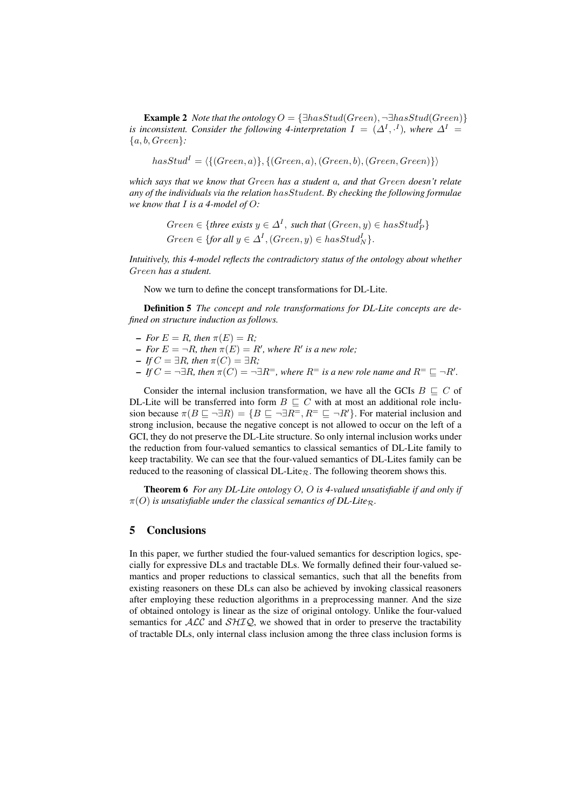**Example 2** *Note that the ontology*  $O = \{\exists hasStud(Green), \neg \exists hasStud(Green)\}$ *is inconsistent. Consider the following 4-interpretation*  $I = (\Delta^I, \cdot^I)$ , where  $\Delta^I =$ {a, b, Green}*:*

 $hasStud<sup>I</sup> = \langle {(Green, a)}, {(Green, b)}, (Green, Green, Green)}\rangle$ 

*which says that we know that* Green *has a student* a*, and that* Green *doesn't relate any of the individuals via the relation* hasStudent*. By checking the following formulae we know that* I *is a 4-model of* O*:*

> $Green \in \{three \ exists \ y \in \Delta^I, \ such \ that \ (Green, y) \in hasStud_P^I\}$  $Green \in \{for \, all \, y \in \Delta^I, (Green, y) \in hasStud_N^I\}.$

*Intuitively, this 4-model reflects the contradictory status of the ontology about whether* Green *has a student.*

Now we turn to define the concept transformations for DL-Lite.

Definition 5 *The concept and role transformations for DL-Lite concepts are defined on structure induction as follows.*

- $-$  *For*  $E = R$ *, then*  $\pi(E) = R$ *;*
- $-$  *For*  $E = \neg R$ *, then*  $\pi(E) = R'$ *, where*  $R'$  *is a new role;*
- $-IfC = \exists R$ , then  $\pi(C) = \exists R$ ;
- $-IfC = \neg \exists R$ , then  $\pi(C) = \neg \exists R^=$ , where  $R^=$  is a new role name and  $R^= \sqsubseteq \neg R'.$

Consider the internal inclusion transformation, we have all the GCIs  $B \sqsubset C$  of DL-Lite will be transferred into form  $B \subseteq C$  with at most an additional role inclusion because  $\pi(B \sqsubseteq \neg \exists R) = \{B \sqsubseteq \neg \exists R^=, R^= \sqsubseteq \neg R'\}.$  For material inclusion and strong inclusion, because the negative concept is not allowed to occur on the left of a GCI, they do not preserve the DL-Lite structure. So only internal inclusion works under the reduction from four-valued semantics to classical semantics of DL-Lite family to keep tractability. We can see that the four-valued semantics of DL-Lites family can be reduced to the reasoning of classical DL-Lite<sub>R</sub>. The following theorem shows this.

Theorem 6 *For any DL-Lite ontology* O*,* O *is 4-valued unsatisfiable if and only if*  $\pi(O)$  *is unsatisfiable under the classical semantics of DL-Lite*<sub>R</sub>.

## 5 Conclusions

In this paper, we further studied the four-valued semantics for description logics, specially for expressive DLs and tractable DLs. We formally defined their four-valued semantics and proper reductions to classical semantics, such that all the benefits from existing reasoners on these DLs can also be achieved by invoking classical reasoners after employing these reduction algorithms in a preprocessing manner. And the size of obtained ontology is linear as the size of original ontology. Unlike the four-valued semantics for  $\mathcal{ALC}$  and  $\mathcal{SHIQ}$ , we showed that in order to preserve the tractability of tractable DLs, only internal class inclusion among the three class inclusion forms is